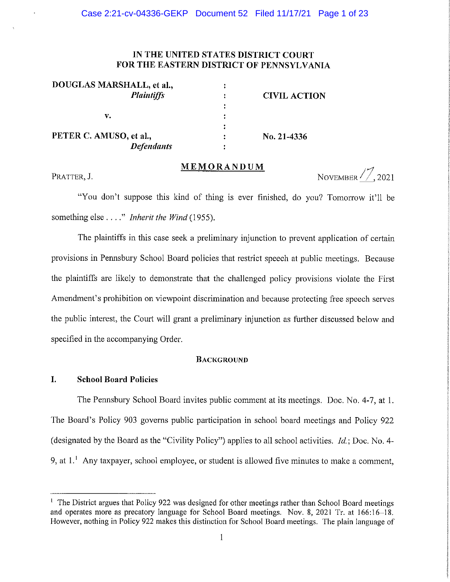# IN THE UNITED STATES DISTRICT COURT FOR THE EASTERN DISTRICT OF PENNSYLVANIA

| DOUGLAS MARSHALL, et al., |                     |
|---------------------------|---------------------|
| <b>Plaintiffs</b>         | <b>CIVIL ACTION</b> |
|                           |                     |
| v.                        |                     |
|                           |                     |
| PETER C. AMUSO, et al.,   | No. 21-4336         |
| Defendants                |                     |

## MEMORANDUM

### PRATTER, J.

NOVEMBER  $\frac{7}{7}$ , 2021

"You don't suppose this kind of thing is ever finished, do you? Tomorrow it'll be something else . . . ." Inherit the Wind (1955).

The plaintiffs in this case seek a preliminary injunction to prevent application of certain provisions in Pennsbury School Board policies that restrict speech at public meetings. Because the plaintiffs are likely to demonstrate that the challenged policy provisions violate the First Amendment's prohibition on viewpoint discrimination and because protecting free speech serves the public interest, the Court will grant a preliminary injunction as further discussed below and specified in the accompanying Order.

## **BACKGROUND**

#### $\mathbf{I}$ . **School Board Policies**

The Pennsbury School Board invites public comment at its meetings. Doc. No. 4-7, at 1. The Board's Policy 903 governs public participation in school board meetings and Policy 922 (designated by the Board as the "Civility Policy") applies to all school activities. *Id.*; Doc. No. 4-9, at  $1<sup>1</sup>$  Any taxpayer, school employee, or student is allowed five minutes to make a comment,

<sup>&</sup>lt;sup>1</sup> The District argues that Policy 922 was designed for other meetings rather than School Board meetings and operates more as precatory language for School Board meetings. Nov. 8, 2021 Tr. at 166:16-18. However, nothing in Policy 922 makes this distinction for School Board meetings. The plain language of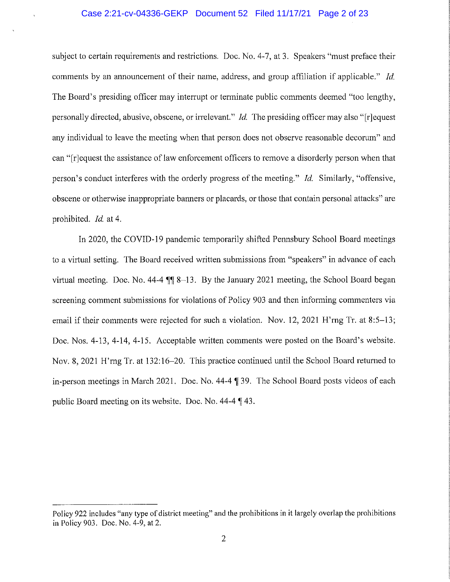## Case 2:21-cv-04336-GEKP Document 52 Filed 11/17/21 Page 2 of 23

subject to certain requirements and restrictions. Doc. No. 4-7, at 3. Speakers "must preface their comments by an announcement of their name, address, and group affiliation if applicable." *Id.* The Board's presiding officer may interrupt or terminate public comments deemed "too lengthy, personally directed, abusive, obscene, or irrelevant." *Id.* The presiding officer may also "[r]equest any individual to leave the meeting when that person does not observe reasonable decorum" and can "[r] equest the assistance of law enforcement officers to remove a disorderly person when that person's conduct interferes with the orderly progress of the meeting." Id. Similarly, "offensive, obscene or otherwise inappropriate banners or placards, or those that contain personal attacks" are prohibited. *Id.* at 4.

In 2020, the COVID-19 pandemic temporarily shifted Pennsbury School Board meetings to a virtual setting. The Board received written submissions from "speakers" in advance of each virtual meeting. Doc. No. 44-4  $\P$  8-13. By the January 2021 meeting, the School Board began screening comment submissions for violations of Policy 903 and then informing commenters via email if their comments were rejected for such a violation. Nov. 12, 2021 H'rng Tr. at 8:5–13; Doc. Nos. 4-13, 4-14, 4-15. Acceptable written comments were posted on the Board's website. Nov, 8, 2021 H'rng Tr. at 132:16–20. This practice continued until the School Board returned to in-person meetings in March 2021. Doc. No. 44-4 ¶ 39. The School Board posts videos of each public Board meeting on its website. Doc. No. 44-4 [43.]

Policy 922 includes "any type of district meeting" and the prohibitions in it largely overlap the prohibitions in Policy 903. Doc. No. 4-9, at 2.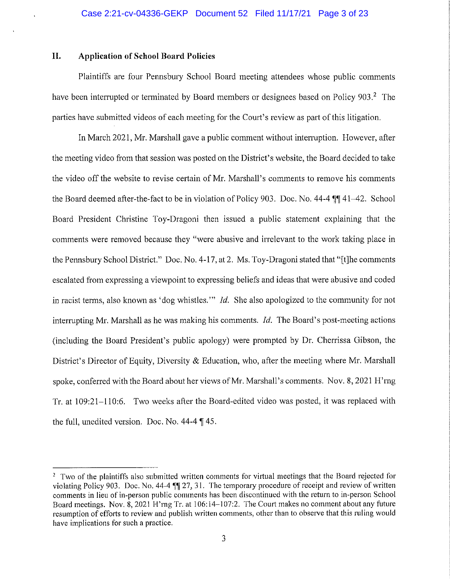#### II. **Application of School Board Policies**

Plaintiffs are four Pennsbury School Board meeting attendees whose public comments have been interrupted or terminated by Board members or designees based on Policy 903.<sup>2</sup> The parties have submitted videos of each meeting for the Court's review as part of this litigation.

In March 2021, Mr. Marshall gave a public comment without interruption. However, after the meeting video from that session was posted on the District's website, the Board decided to take the video off the website to revise certain of Mr. Marshall's comments to remove his comments the Board deemed after-the-fact to be in violation of Policy 903. Doc. No. 44-4 TV 41-42. School Board President Christine Toy-Dragoni then issued a public statement explaining that the comments were removed because they "were abusive and irrelevant to the work taking place in the Pennsbury School District." Doc. No. 4-17, at 2. Ms. Toy-Dragoni stated that "[t] he comments escalated from expressing a viewpoint to expressing beliefs and ideas that were abusive and coded in racist terms, also known as 'dog whistles.'" *Id*. She also apologized to the community for not interrupting Mr. Marshall as he was making his comments. *Id*. The Board's post-meeting actions (including the Board President's public apology) were prompted by Dr. Cherrissa Gibson, the District's Director of Equity, Diversity & Education, who, after the meeting where Mr. Marshall spoke, conferred with the Board about her views of Mr. Marshall's comments. Nov. 8, 2021 H'rng Tr. at 109:21–110:6. Two weeks after the Board-edited video was posted, it was replaced with the full, unedited version. Doc. No.  $44-4$  \le 45.

<sup>&</sup>lt;sup>2</sup> Two of the plaintiffs also submitted written comments for virtual meetings that the Board rejected for violating Policy 903. Doc. No. 44-4 [1] 27, 31. The temporary procedure of receipt and review of written comments in lieu of in-person public comments has been discontinued with the return to in-person School Board meetings. Nov. 8, 2021 H'rng Tr. at 106:14–107:2. The Court makes no comment about any future resumption of efforts to review and publish written comments, other than to observe that this ruling would have implications for such a practice.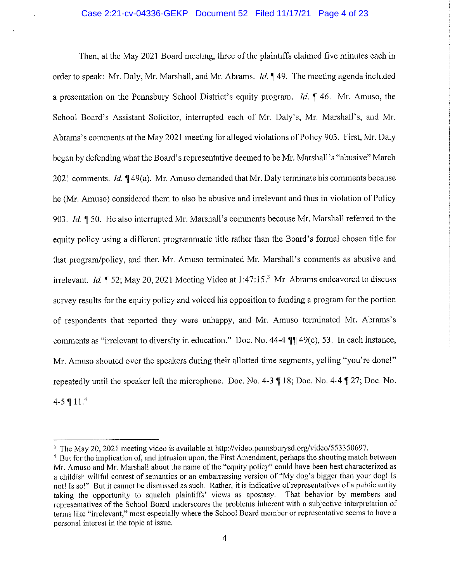## Case 2:21-cv-04336-GEKP Document 52 Filed 11/17/21 Page 4 of 23

Then, at the May 2021 Board meeting, three of the plaintiffs claimed five minutes each in order to speak: Mr. Daly, Mr. Marshall, and Mr. Abrams. *Id.* 149. The meeting agenda included a presentation on the Pennsbury School District's equity program. *Id.*  $\parallel$  46. Mr. Amuso, the School Board's Assistant Solicitor, interrupted each of Mr. Daly's, Mr. Marshall's, and Mr. Abrams's comments at the May 2021 meeting for alleged violations of Policy 903. First, Mr. Daly began by defending what the Board's representative deemed to be Mr. Marshall's "abusive" March 2021 comments. *Id.* 149(a). Mr. Amuso demanded that Mr. Daly terminate his comments because he (Mr. Amuso) considered them to also be abusive and irrelevant and thus in violation of Policy 903. Id. ¶ 50. He also interrupted Mr. Marshall's comments because Mr. Marshall referred to the equity policy using a different programmatic title rather than the Board's formal chosen title for that program/policy, and then Mr. Amuso terminated Mr. Marshall's comments as abusive and irrelevant. *Id.*  $\parallel$  52; May 20, 2021 Meeting Video at 1:47:15.<sup>3</sup> Mr. Abrams endeavored to discuss survey results for the equity policy and voiced his opposition to funding a program for the portion of respondents that reported they were unhappy, and Mr. Amuso terminated Mr. Abrams's comments as "irrelevant to diversity in education." Doc. No. 44-4 ¶¶ 49(c), 53. In each instance, Mr. Amuso shouted over the speakers during their allotted time segments, yelling "you're done!" repeatedly until the speaker left the microphone. Doc. No. 4-3  $\P$  18; Doc. No. 4-4  $\P$  27; Doc. No. 4-5 ¶  $11.<sup>4</sup>$ 

<sup>&</sup>lt;sup>3</sup> The May 20, 2021 meeting video is available at http://video.pennsburysd.org/video/553350697.

<sup>&</sup>lt;sup>4</sup> But for the implication of, and intrusion upon, the First Amendment, perhaps the shouting match between Mr. Amuso and Mr. Marshall about the name of the "equity policy" could have been best characterized as a childish willful contest of semantics or an embarrassing version of "My dog's bigger than your dog! Is not! Is so!" But it cannot be dismissed as such. Rather, it is indicative of representatives of a public entity taking the opportunity to squelch plaintiffs' views as apostasy. That behavior by members and representatives of the School Board underscores the problems inherent with a subjective interpretation of terms like "irrelevant," most especially where the School Board member or representative seems to have a personal interest in the topic at issue.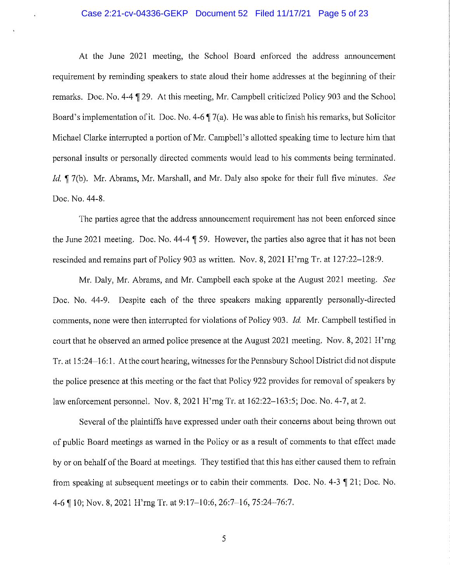## Case 2:21-cv-04336-GEKP Document 52 Filed 11/17/21 Page 5 of 23

At the June 2021 meeting, the School Board enforced the address announcement requirement by reminding speakers to state aloud their home addresses at the beginning of their remarks. Doc. No. 4-4 ¶ 29. At this meeting, Mr. Campbell criticized Policy 903 and the School Board's implementation of it. Doc. No. 4-6  $\sqrt{7}$  (a). He was able to finish his remarks, but Solicitor Michael Clarke interrupted a portion of Mr. Campbell's allotted speaking time to lecture him that personal insults or personally directed comments would lead to his comments being terminated. Id. ¶ 7(b). Mr. Abrams, Mr. Marshall, and Mr. Daly also spoke for their full five minutes. See Doc. No. 44-8.

The parties agree that the address announcement requirement has not been enforced since the June 2021 meeting. Doc. No. 44-4 | 59. However, the parties also agree that it has not been rescinded and remains part of Policy 903 as written. Nov. 8, 2021 H'rng Tr. at 127:22–128:9.

Mr. Daly, Mr. Abrams, and Mr. Campbell each spoke at the August 2021 meeting. See Doc. No. 44-9. Despite each of the three speakers making apparently personally-directed comments, none were then interrupted for violations of Policy 903. *Id.* Mr. Campbell testified in court that he observed an armed police presence at the August 2021 meeting. Nov. 8, 2021 H'rng Tr, at 15:24–16:1. At the court hearing, witnesses for the Pennsbury School District did not dispute the police presence at this meeting or the fact that Policy 922 provides for removal of speakers by law enforcement personnel. Nov. 8, 2021 H'rng Tr. at 162:22–163:5; Doc. No. 4-7, at 2.

Several of the plaintiffs have expressed under oath their concerns about being thrown out of public Board meetings as warned in the Policy or as a result of comments to that effect made by or on behalf of the Board at meetings. They testified that this has either caused them to refrain from speaking at subsequent meetings or to cabin their comments. Doc. No. 4-3  $\parallel$  21; Doc. No. 4-6 ¶ 10; Nov. 8, 2021 H'rng Tr. at 9:17-10:6, 26:7-16, 75:24-76:7.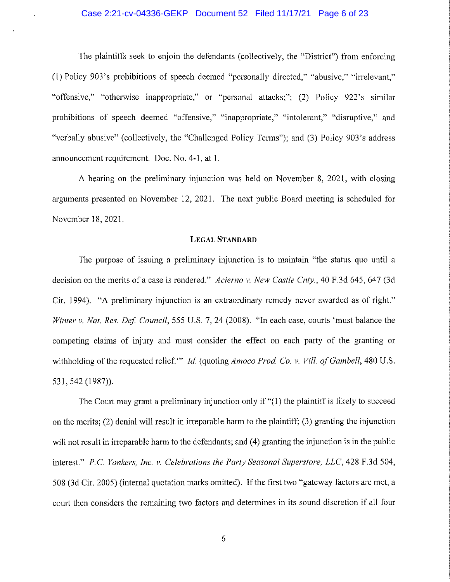## Case 2:21-cv-04336-GEKP Document 52 Filed 11/17/21 Page 6 of 23

The plaintiffs seek to enjoin the defendants (collectively, the "District") from enforcing (1) Policy 903's prohibitions of speech deemed "personally directed," "abusive," "irrelevant," "offensive," "otherwise inappropriate," or "personal attacks;"; (2) Policy 922's similar prohibitions of speech deemed "offensive," "inappropriate," "intolerant," "disruptive," and "verbally abusive" (collectively, the "Challenged Policy Terms"); and (3) Policy 903's address announcement requirement. Doc. No. 4-1, at 1.

A hearing on the preliminary injunction was held on November 8, 2021, with closing arguments presented on November 12, 2021. The next public Board meeting is scheduled for November 18, 2021.

### **LEGAL STANDARD**

The purpose of issuing a preliminary injunction is to maintain "the status quo until a decision on the merits of a case is rendered." Acierno v. New Castle Cnty., 40 F.3d 645, 647 (3d) Cir. 1994). "A preliminary injunction is an extraordinary remedy never awarded as of right." Winter v. Nat. Res. Def. Council, 555 U.S. 7, 24 (2008). "In each case, courts 'must balance the competing claims of injury and must consider the effect on each party of the granting or withholding of the requested relief." Id. (quoting Amoco Prod. Co. v. Vill. of Gambell, 480 U.S. 531, 542 (1987)).

The Court may grant a preliminary injunction only if "(1) the plaintiff is likely to succeed on the merits; (2) denial will result in irreparable harm to the plaintiff; (3) granting the injunction will not result in irreparable harm to the defendants; and (4) granting the injunction is in the public interest." P.C. Yonkers, Inc. v. Celebrations the Party Seasonal Superstore, LLC, 428 F.3d 504, 508 (3d Cir. 2005) (internal quotation marks omitted). If the first two "gateway factors are met, a court then considers the remaining two factors and determines in its sound discretion if all four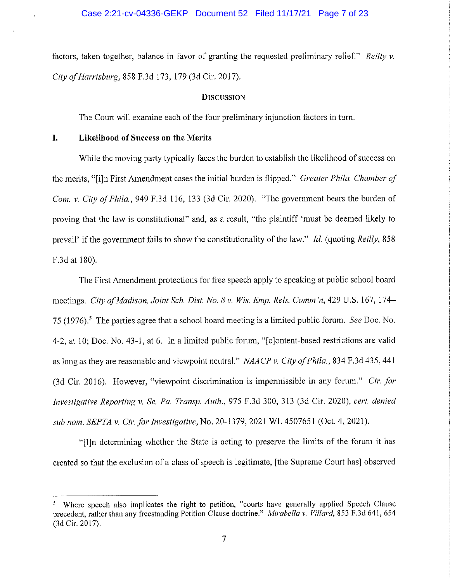factors, taken together, balance in favor of granting the requested preliminary relief." Reilly v. City of Harrisburg, 858 F.3d 173, 179 (3d Cir. 2017).

### **DISCUSSION**

The Court will examine each of the four preliminary injunction factors in turn.

#### I. Likelihood of Success on the Merits

While the moving party typically faces the burden to establish the likelihood of success on the merits, "[i]n First Amendment cases the initial burden is flipped." Greater Phila. Chamber of Com. v. City of Phila, 949 F.3d 116, 133 (3d Cir. 2020). "The government bears the burden of proving that the law is constitutional" and, as a result, "the plaintiff 'must be deemed likely to prevail' if the government fails to show the constitutionality of the law." Id. (quoting Reilly, 858) F.3d at 180).

The First Amendment protections for free speech apply to speaking at public school board meetings. City of Madison, Joint Sch. Dist. No. 8 v. Wis. Emp. Rels. Comm'n, 429 U.S. 167, 174– 75 (1976).<sup>5</sup> The parties agree that a school board meeting is a limited public forum. See Doc. No. 4-2, at 10; Doc. No. 43-1, at 6. In a limited public forum, "solontent-based restrictions are valid as long as they are reasonable and viewpoint neutral." NAACP v. City of Phila., 834 F.3d 435, 441 (3d Cir. 2016). However, "viewpoint discrimination is impermissible in any forum." Ctr. for Investigative Reporting v. Se. Pa. Transp. Auth., 975 F.3d 300, 313 (3d Cir. 2020), cert. denied sub nom. SEPTA v. Ctr. for Investigative, No. 20-1379, 2021 WL 4507651 (Oct. 4, 2021).

"Illn determining whether the State is acting to preserve the limits of the forum it has created so that the exclusion of a class of speech is legitimate, [the Supreme Court has] observed

Where speech also implicates the right to petition, "courts have generally applied Speech Clause precedent, rather than any freestanding Petition Clause doctrine." Mirabella v. Villard, 853 F.3d 641, 654 (3d Cir. 2017).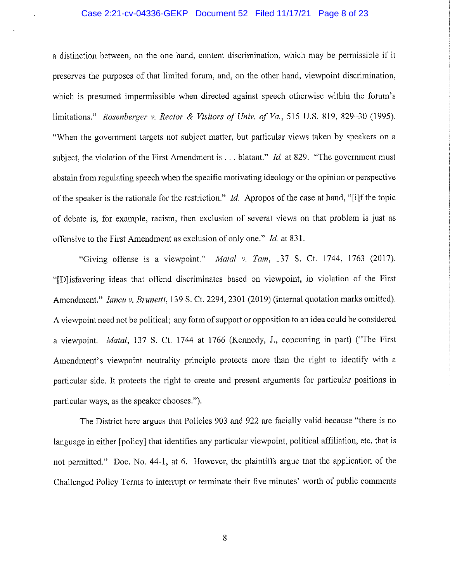## Case 2:21-cv-04336-GEKP Document 52 Filed 11/17/21 Page 8 of 23

a distinction between, on the one hand, content discrimination, which may be permissible if it preserves the purposes of that limited forum, and, on the other hand, viewpoint discrimination, which is presumed impermissible when directed against speech otherwise within the forum's limitations." Rosenberger v. Rector & Visitors of Univ. of Va., 515 U.S. 819, 829-30 (1995). "When the government targets not subject matter, but particular views taken by speakers on a subject, the violation of the First Amendment is  $\ldots$  blatant." *Id.* at 829. "The government must abstain from regulating speech when the specific motivating ideology or the opinion or perspective of the speaker is the rationale for the restriction." Id. Apropos of the case at hand, "[i]f the topic of debate is, for example, racism, then exclusion of several views on that problem is just as offensive to the First Amendment as exclusion of only one." Id. at 831.

"Giving offense is a viewpoint." Matal v. Tam, 137 S. Ct. 1744, 1763 (2017). "[Dlisfavoring ideas that offend discriminates based on viewpoint, in violation of the First Amendment." *Iancu v. Brunetti*, 139 S. Ct. 2294, 2301 (2019) (internal quotation marks omitted). A viewpoint need not be political; any form of support or opposition to an idea could be considered a viewpoint. Matal, 137 S. Ct. 1744 at 1766 (Kennedy, J., concurring in part) ("The First Amendment's viewpoint neutrality principle protects more than the right to identify with a particular side. It protects the right to create and present arguments for particular positions in particular ways, as the speaker chooses.").

The District here argues that Policies 903 and 922 are facially valid because "there is no language in either [policy] that identifies any particular viewpoint, political affiliation, etc. that is not permitted." Doc. No. 44-1, at 6. However, the plaintiffs argue that the application of the Challenged Policy Terms to interrupt or terminate their five minutes' worth of public comments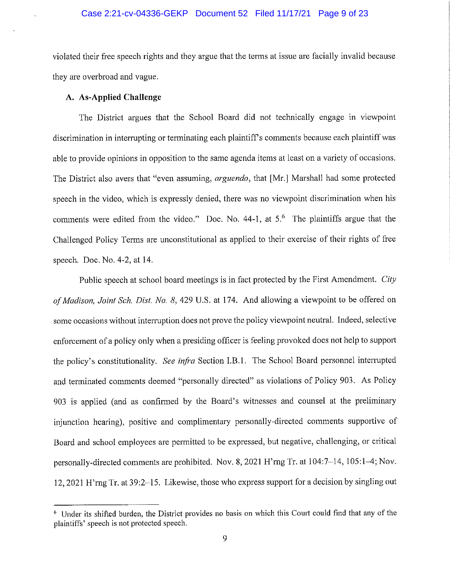## Case 2:21-cv-04336-GEKP Document 52 Filed 11/17/21 Page 9 of 23

violated their free speech rights and they argue that the terms at issue are facially invalid because they are overbroad and vague.

# A. As-Applied Challenge

The District argues that the School Board did not technically engage in viewpoint discrimination in interrupting or terminating each plaintiff's comments because each plaintiff was able to provide opinions in opposition to the same agenda items at least on a variety of occasions. The District also avers that "even assuming, arguendo, that [Mr.] Marshall had some protected speech in the video, which is expressly denied, there was no viewpoint discrimination when his comments were edited from the video." Doc. No.  $44-1$ , at  $5<sup>6</sup>$  The plaintiffs argue that the Challenged Policy Terms are unconstitutional as applied to their exercise of their rights of free speech. Doc. No. 4-2, at 14.

Public speech at school board meetings is in fact protected by the First Amendment. City of Madison, Joint Sch. Dist. No. 8, 429 U.S. at 174. And allowing a viewpoint to be offered on some occasions without interruption does not prove the policy viewpoint neutral. Indeed, selective enforcement of a policy only when a presiding officer is feeling provoked does not help to support the policy's constitutionality. See infra Section I.B.1. The School Board personnel interrupted and terminated comments deemed "personally directed" as violations of Policy 903. As Policy 903 is applied (and as confirmed by the Board's witnesses and counsel at the preliminary injunction hearing), positive and complimentary personally-directed comments supportive of Board and school employees are permitted to be expressed, but negative, challenging, or critical nersonally-directed comments are prohibited. Nov. 8, 2021 H'rng Tr. at 104:7-14, 105:1-4; Nov. 12, 2021 H'rng Tr. at 39:2-15. Likewise, those who express support for a decision by singling out

<sup>&</sup>lt;sup>6</sup> Under its shifted burden, the District provides no basis on which this Court could find that any of the plaintiffs' speech is not protected speech.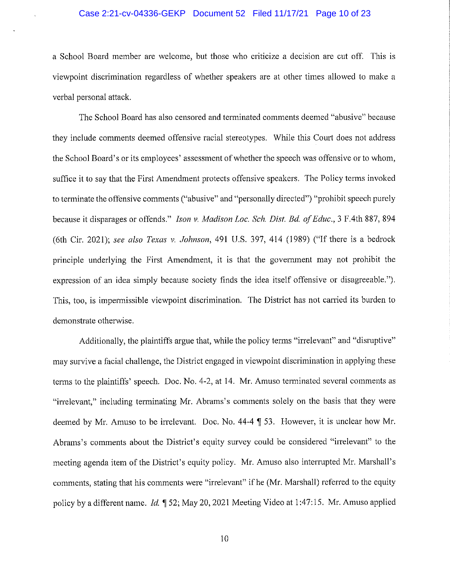## Case 2:21-cv-04336-GEKP Document 52 Filed 11/17/21 Page 10 of 23

a School Board member are welcome, but those who criticize a decision are cut off. This is viewpoint discrimination regardless of whether speakers are at other times allowed to make a verbal personal attack.

The School Board has also censored and terminated comments deemed "abusive" because they include comments deemed offensive racial stereotypes. While this Court does not address the School Board's or its employees' assessment of whether the speech was offensive or to whom, suffice it to say that the First Amendment protects offensive speakers. The Policy terms invoked to terminate the offensive comments ("abusive" and "personally directed") "prohibit speech purely because it disparages or offends." Ison v. Madison Loc. Sch. Dist. Bd. of Educ., 3 F.4th 887, 894 (6th Cir. 2021); see also Texas v. Johnson, 491 U.S. 397, 414 (1989) ("If there is a bedrock principle underlying the First Amendment, it is that the government may not prohibit the expression of an idea simply because society finds the idea itself offensive or disagreeable."). This, too, is impermissible viewpoint discrimination. The District has not carried its burden to demonstrate otherwise.

Additionally, the plaintiffs argue that, while the policy terms "irrelevant" and "disruptive" may survive a facial challenge, the District engaged in viewpoint discrimination in applying these terms to the plaintiffs' speech. Doc. No. 4-2, at 14. Mr. Amuso terminated several comments as "irrelevant," including terminating Mr. Abrams's comments solely on the basis that they were deemed by Mr. Amuso to be irrelevant. Doc. No. 44-4 ¶ 53. However, it is unclear how Mr. Abrams's comments about the District's equity survey could be considered "irrelevant" to the meeting agenda item of the District's equity policy. Mr. Amuso also interrupted Mr. Marshall's comments, stating that his comments were "irrelevant" if he (Mr. Marshall) referred to the equity policy by a different name. Id. 1 52; May 20, 2021 Meeting Video at 1:47:15. Mr. Amuso applied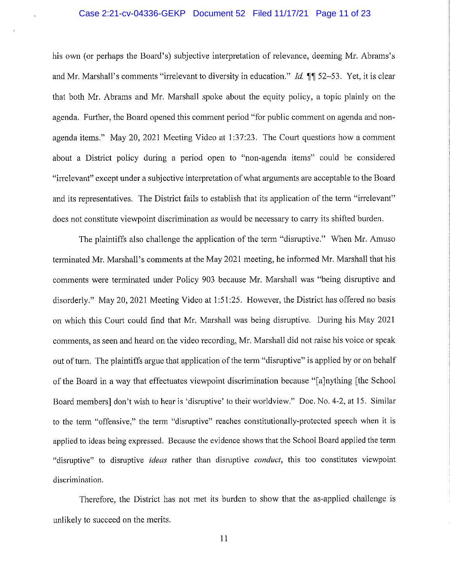## Case 2:21-cv-04336-GEKP Document 52 Filed 11/17/21 Page 11 of 23

his own (or perhaps the Board's) subjective interpretation of relevance, deeming Mr. Abrams's and Mr. Marshall's comments "irrelevant to diversity in education." *Id.* 11 52–53. Yet, it is clear that both Mr. Abrams and Mr. Marshall spoke about the equity policy, a topic plainly on the agenda. Further, the Board opened this comment period "for public comment on agenda and nonagenda items." May 20, 2021 Meeting Video at 1:37:23. The Court questions how a comment about a District policy during a period open to "non-agenda items" could be considered "irrelevant" except under a subjective interpretation of what arguments are acceptable to the Board and its representatives. The District fails to establish that its application of the term "irrelevant" does not constitute viewpoint discrimination as would be necessary to carry its shifted burden.

The plaintiffs also challenge the application of the term "disruptive." When Mr. Amuso terminated Mr. Marshall's comments at the May 2021 meeting, he informed Mr. Marshall that his comments were terminated under Policy 903 because Mr. Marshall was "being disruptive and disorderly." May 20, 2021 Meeting Video at 1:51:25. However, the District has offered no basis on which this Court could find that Mr. Marshall was being disruptive. During his May 2021 comments, as seen and heard on the video recording, Mr. Marshall did not raise his voice or speak out of turn. The plaintiffs argue that application of the term "disruptive" is applied by or on behalf of the Board in a way that effectuates viewpoint discrimination because "[a]nything [the School] Board members] don't wish to hear is 'disruptive' to their worldview." Doc. No. 4-2, at 15. Similar to the term "offensive," the term "disruptive" reaches constitutionally-protected speech when it is applied to ideas being expressed. Because the evidence shows that the School Board applied the term "disruptive" to disruptive *ideas* rather than disruptive *conduct*, this too constitutes viewpoint discrimination.

Therefore, the District has not met its burden to show that the as-applied challenge is unlikely to succeed on the merits.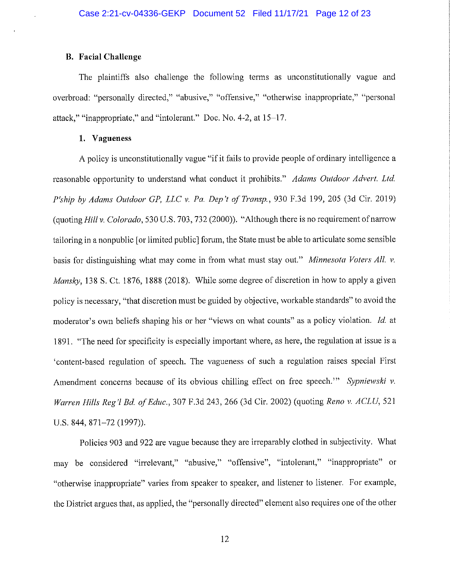# **B.** Facial Challenge

The plaintiffs also challenge the following terms as unconstitutionally vague and overbroad: "personally directed," "abusive," "offensive," "otherwise inappropriate," "personal attack," "inappropriate," and "intolerant." Doc. No. 4-2, at 15–17.

## 1. Vagueness

A policy is unconstitutionally vague "if it fails to provide people of ordinary intelligence a reasonable opportunity to understand what conduct it prohibits." Adams Outdoor Advert. Ltd. P'ship by Adams Outdoor GP, LLC v. Pa. Dep't of Transp., 930 F.3d 199, 205 (3d Cir. 2019) (quoting Hill y. Colorado, 530 U.S. 703, 732 (2000)). "Although there is no requirement of narrow tailoring in a nonpublic for limited public forum, the State must be able to articulate some sensible basis for distinguishing what may come in from what must stay out." Minnesota Voters All. v. *Mansky*, 138 S. Ct. 1876, 1888 (2018). While some degree of discretion in how to apply a given nolicy is necessary, "that discretion must be guided by objective, workable standards" to avoid the moderator's own beliefs shaping his or her "views on what counts" as a policy violation. Id. at 1891. "The need for specificity is especially important where, as here, the regulation at issue is a 'content-based regulation of speech. The vagueness of such a regulation raises special First Amendment concerns because of its obvious chilling effect on free speech." Sypniewski v. Warren Hills Reg'l Bd. of Educ., 307 F.3d 243, 266 (3d Cir. 2002) (quoting Reno v. ACLU, 521 U.S. 844, 871-72 (1997)).

Policies 903 and 922 are vague because they are irreparably clothed in subjectivity. What may be considered "irrelevant," "abusive," "offensive", "intolerant," "inappropriate" or "otherwise inappropriate" varies from speaker to speaker, and listener to listener. For example, the District argues that, as applied, the "personally directed" element also requires one of the other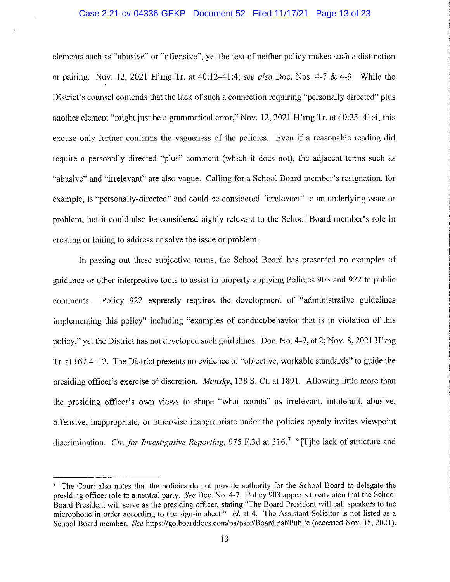## Case 2:21-cv-04336-GEKP Document 52 Filed 11/17/21 Page 13 of 23

elements such as "abusive" or "offensive", yet the text of neither policy makes such a distinction or pairing. Nov. 12, 2021 H'rng Tr. at 40:12-41:4; see also Doc. Nos. 4-7 & 4-9. While the District's counsel contends that the lack of such a connection requiring "personally directed" plus another element "might just be a grammatical error," Nov. 12, 2021 H'rng Tr. at 40:25–41:4, this excuse only further confirms the vagueness of the policies. Even if a reasonable reading did require a personally directed "plus" comment (which it does not), the adjacent terms such as "abusive" and "irrelevant" are also vague. Calling for a School Board member's resignation, for example, is "personally-directed" and could be considered "irrelevant" to an underlying issue or problem, but it could also be considered highly relevant to the School Board member's role in creating or failing to address or solve the issue or problem.

In parsing out these subjective terms, the School Board has presented no examples of guidance or other interpretive tools to assist in properly applying Policies 903 and 922 to public Policy 922 expressly requires the development of "administrative guidelines" comments. implementing this policy" including "examples of conduct/behavior that is in violation of this policy," yet the District has not developed such guidelines. Doc. No. 4-9, at 2; Nov. 8, 2021 H'rng Tr. at 167:4–12. The District presents no evidence of "objective, workable standards" to guide the presiding officer's exercise of discretion. Mansky, 138 S. Ct. at 1891. Allowing little more than the presiding officer's own views to shape "what counts" as irrelevant, intolerant, abusive, offensive, inappropriate, or otherwise inappropriate under the policies openly invites viewpoint discrimination. Ctr. for Investigative Reporting, 975 F.3d at 316.<sup>7</sup> "[T] he lack of structure and

<sup>&</sup>lt;sup>7</sup> The Court also notes that the policies do not provide authority for the School Board to delegate the presiding officer role to a neutral party. See Doc. No. 4-7. Policy 903 appears to envision that the School Board President will serve as the presiding officer, stating "The Board President will call speakers to the microphone in order according to the sign-in sheet."  $Id$ , at 4. The Assistant Solicitor is not listed as a School Board member. See https://go.boarddocs.com/pa/psbr/Board.nsf/Public (accessed Nov. 15, 2021).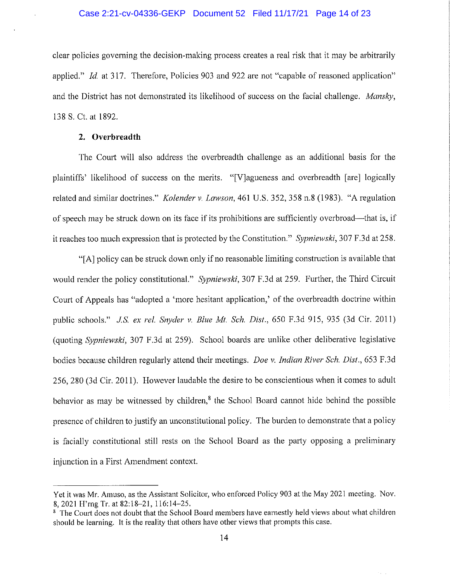## Case 2:21-cv-04336-GEKP Document 52 Filed 11/17/21 Page 14 of 23

clear policies governing the decision-making process creates a real risk that it may be arbitrarily applied." Id. at 317. Therefore, Policies 903 and 922 are not "capable of reasoned application" and the District has not demonstrated its likelihood of success on the facial challenge. Mansky, 138 S. Ct. at 1892.

### 2. Overbreadth

The Court will also address the overbreadth challenge as an additional basis for the plaintiffs' likelihood of success on the merits. "[V] agueness and overbreadth [are] logically related and similar doctrines." Kolender v. Lawson, 461 U.S. 352, 358 n.8 (1983). "A regulation of speech may be struck down on its face if its prohibitions are sufficiently overbroad—that is, if it reaches too much expression that is protected by the Constitution." Sypniewski, 307 F.3d at 258.

"[A] policy can be struck down only if no reasonable limiting construction is available that would render the policy constitutional." Sypniewski, 307 F.3d at 259. Further, the Third Circuit Court of Appeals has "adopted a 'more hesitant application,' of the overbreadth doctrine within public schools." J.S. ex rel. Snyder v. Blue Mt. Sch. Dist., 650 F.3d 915, 935 (3d Cir. 2011) (quoting Sypniewski, 307 F.3d at 259). School boards are unlike other deliberative legislative bodies because children regularly attend their meetings. Doe v. Indian River Sch. Dist., 653 F.3d 256, 280 (3d Cir. 2011). However laudable the desire to be conscientious when it comes to adult behavior as may be witnessed by children, $<sup>8</sup>$  the School Board cannot hide behind the possible</sup> presence of children to justify an unconstitutional policy. The burden to demonstrate that a policy is facially constitutional still rests on the School Board as the party opposing a preliminary injunction in a First Amendment context.

Yet it was Mr. Amuso, as the Assistant Solicitor, who enforced Policy 903 at the May 2021 meeting. Nov. 8, 2021 H'rng Tr. at 82:18-21, 116:14-25.

<sup>&</sup>lt;sup>8</sup> The Court does not doubt that the School Board members have earnestly held views about what children should be learning. It is the reality that others have other views that prompts this case.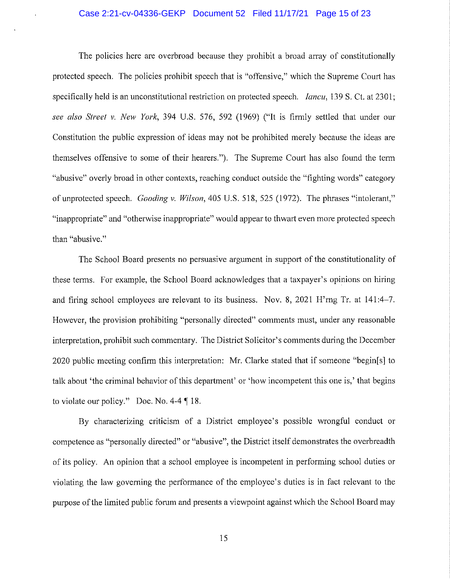## Case 2:21-cv-04336-GEKP Document 52 Filed 11/17/21 Page 15 of 23

The policies here are overbroad because they prohibit a broad array of constitutionally protected speech. The policies prohibit speech that is "offensive," which the Supreme Court has specifically held is an unconstitutional restriction on protected speech. *Iancu*, 139 S. Ct. at 2301; see also Street v. New York, 394 U.S. 576, 592 (1969) ("It is firmly settled that under our Constitution the public expression of ideas may not be prohibited merely because the ideas are themselves offensive to some of their hearers."). The Supreme Court has also found the term "abusive" overly broad in other contexts, reaching conduct outside the "fighting words" category of unprotected speech. Gooding v. Wilson, 405 U.S. 518, 525 (1972). The phrases "intolerant," "inappropriate" and "otherwise inappropriate" would appear to thwart even more protected speech than "abusive."

The School Board presents no persuasive argument in support of the constitutionality of these terms. For example, the School Board acknowledges that a taxpayer's opinions on hiring and firing school employees are relevant to its business. Nov. 8, 2021 H'rng Tr. at 141:4–7. However, the provision prohibiting "personally directed" comments must, under any reasonable interpretation, prohibit such commentary. The District Solicitor's comments during the December 2020 public meeting confirm this interpretation: Mr. Clarke stated that if someone "begin[s] to talk about 'the criminal behavior of this department' or 'how incompetent this one is,' that begins to violate our policy." Doc. No. 4-4  $\P$  18.

By characterizing criticism of a District employee's possible wrongful conduct or competence as "personally directed" or "abusive", the District itself demonstrates the overbreadth of its policy. An opinion that a school employee is incompetent in performing school duties or violating the law governing the performance of the employee's duties is in fact relevant to the purpose of the limited public forum and presents a viewpoint against which the School Board may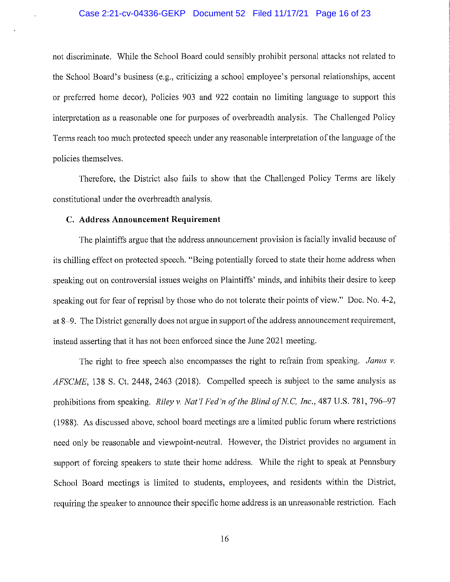## Case 2:21-cv-04336-GEKP Document 52 Filed 11/17/21 Page 16 of 23

not discriminate. While the School Board could sensibly prohibit personal attacks not related to the School Board's business (e.g., criticizing a school employee's personal relationships, accent or preferred home decor), Policies 903 and 922 contain no limiting language to support this interpretation as a reasonable one for purposes of overbreadth analysis. The Challenged Policy Terms reach too much protected speech under any reasonable interpretation of the language of the policies themselves.

Therefore, the District also fails to show that the Challenged Policy Terms are likely constitutional under the overbreadth analysis.

## C. Address Announcement Requirement

The plaintiffs argue that the address announcement provision is facially invalid because of its chilling effect on protected speech. "Being potentially forced to state their home address when speaking out on controversial issues weighs on Plaintiffs' minds, and inhibits their desire to keep speaking out for fear of reprisal by those who do not tolerate their points of view." Doc. No. 4-2, at 8–9. The District generally does not argue in support of the address announcement requirement, instead asserting that it has not been enforced since the June 2021 meeting.

The right to free speech also encompasses the right to refrain from speaking. Janus v. AFSCME, 138 S. Ct. 2448, 2463 (2018). Compelled speech is subject to the same analysis as prohibitions from speaking. Riley v. Nat'l Fed'n of the Blind of N.C, Inc., 487 U.S. 781, 796–97 (1988). As discussed above, school board meetings are a limited public forum where restrictions need only be reasonable and viewpoint-neutral. However, the District provides no argument in support of forcing speakers to state their home address. While the right to speak at Pennsbury School Board meetings is limited to students, employees, and residents within the District, requiring the speaker to announce their specific home address is an unreasonable restriction. Each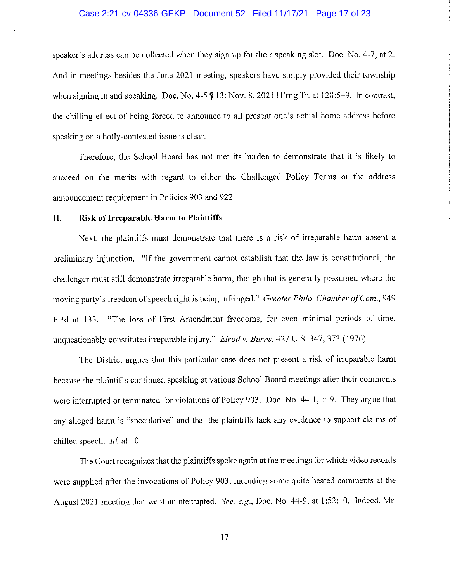## Case 2:21-cv-04336-GEKP Document 52 Filed 11/17/21 Page 17 of 23

speaker's address can be collected when they sign up for their speaking slot. Doc. No. 4-7, at 2. And in meetings besides the June 2021 meeting, speakers have simply provided their township when signing in and speaking. Doc. No. 4-5  $\P$  13; Nov. 8, 2021 H'rng Tr. at 128:5–9. In contrast, the chilling effect of being forced to announce to all present one's actual home address before speaking on a hotly-contested issue is clear.

Therefore, the School Board has not met its burden to demonstrate that it is likely to succeed on the merits with regard to either the Challenged Policy Terms or the address announcement requirement in Policies 903 and 922.

#### II. Risk of Irreparable Harm to Plaintiffs

Next, the plaintiffs must demonstrate that there is a risk of irreparable harm absent a preliminary injunction. "If the government cannot establish that the law is constitutional, the challenger must still demonstrate irreparable harm, though that is generally presumed where the moving party's freedom of speech right is being infringed." Greater Phila. Chamber of Com., 949 F.3d at 133. "The loss of First Amendment freedoms, for even minimal periods of time, unquestionably constitutes irreparable injury." Elrod v. Burns, 427 U.S. 347, 373 (1976).

The District argues that this particular case does not present a risk of irreparable harm because the plaintiffs continued speaking at various School Board meetings after their comments were interrupted or terminated for violations of Policy 903. Doc. No. 44-1, at 9. They argue that any alleged harm is "speculative" and that the plaintiffs lack any evidence to support claims of chilled speech. Id. at 10.

The Court recognizes that the plaintiffs spoke again at the meetings for which video records were supplied after the invocations of Policy 903, including some quite heated comments at the August 2021 meeting that went uninterrupted. See, e.g., Doc. No. 44-9, at 1:52:10. Indeed, Mr.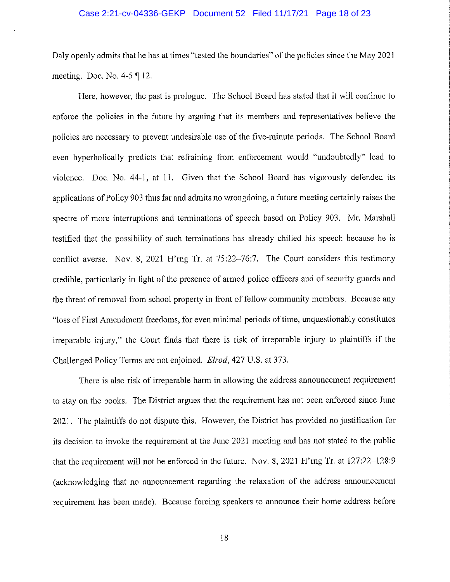## Case 2:21-cv-04336-GEKP Document 52 Filed 11/17/21 Page 18 of 23

Daly openly admits that he has at times "tested the boundaries" of the policies since the May 2021 meeting. Doc. No.  $4-5 \nvert 12$ .

Here, however, the past is prologue. The School Board has stated that it will continue to enforce the policies in the future by arguing that its members and representatives believe the policies are necessary to prevent undesirable use of the five-minute periods. The School Board even hyperbolically predicts that refraining from enforcement would "undoubtedly" lead to violence. Doc. No. 44-1, at 11. Given that the School Board has vigorously defended its applications of Policy 903 thus far and admits no wrongdoing, a future meeting certainly raises the spectre of more interruptions and terminations of speech based on Policy 903. Mr. Marshall testified that the possibility of such terminations has already chilled his speech because he is conflict averse. Nov. 8, 2021 H'rng Tr. at  $75:22-76:7$ . The Court considers this testimony credible, particularly in light of the presence of armed police officers and of security guards and the threat of removal from school property in front of fellow community members. Because any "loss of First Amendment freedoms, for even minimal periods of time, unquestionably constitutes irreparable injury," the Court finds that there is risk of irreparable injury to plaintiffs if the Challenged Policy Terms are not enjoined. *Elrod*, 427 U.S. at 373.

There is also risk of irreparable harm in allowing the address announcement requirement to stay on the books. The District argues that the requirement has not been enforced since June 2021. The plaintiffs do not dispute this. However, the District has provided no justification for its decision to invoke the requirement at the June 2021 meeting and has not stated to the public that the requirement will not be enforced in the future. Nov. 8, 2021 H'rng Tr. at 127:22-128:9 (acknowledging that no announcement regarding the relaxation of the address announcement requirement has been made). Because forcing speakers to announce their home address before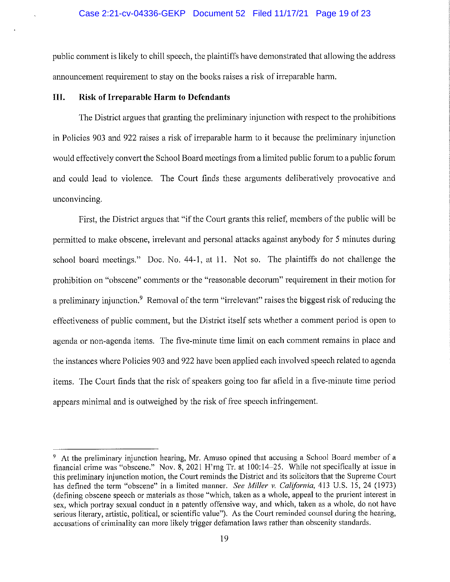## Case 2:21-cv-04336-GEKP Document 52 Filed 11/17/21 Page 19 of 23

public comment is likely to chill speech, the plaintiffs have demonstrated that allowing the address announcement requirement to stay on the books raises a risk of irreparable harm.

#### III. Risk of Irreparable Harm to Defendants

The District argues that granting the preliminary injunction with respect to the prohibitions in Policies 903 and 922 raises a risk of irreparable harm to it because the preliminary injunction would effectively convert the School Board meetings from a limited public forum to a public forum and could lead to violence. The Court finds these arguments deliberatively provocative and unconvincing.

First, the District argues that "if the Court grants this relief, members of the public will be permitted to make obscene, irrelevant and personal attacks against anybody for 5 minutes during school board meetings." Doc. No. 44-1, at 11. Not so. The plaintiffs do not challenge the prohibition on "obscene" comments or the "reasonable decorum" requirement in their motion for a preliminary injunction.<sup>9</sup> Removal of the term "irrelevant" raises the biggest risk of reducing the effectiveness of public comment, but the District itself sets whether a comment period is open to agenda or non-agenda items. The five-minute time limit on each comment remains in place and the instances where Policies 903 and 922 have been applied each involved speech related to agenda items. The Court finds that the risk of speakers going too far afield in a five-minute time period appears minimal and is outweighed by the risk of free speech infringement.

<sup>&</sup>lt;sup>9</sup> At the preliminary injunction hearing, Mr. Amuso opined that accusing a School Board member of a financial crime was "obscene." Nov. 8, 2021 H'rng Tr. at 100:14-25. While not specifically at issue in this preliminary injunction motion, the Court reminds the District and its solicitors that the Supreme Court has defined the term "obscene" in a limited manner. See Miller v. California, 413 U.S. 15, 24 (1973) (defining obscene speech or materials as those "which, taken as a whole, appeal to the prurient interest in sex, which portray sexual conduct in a patently offensive way, and which, taken as a whole, do not have serious literary, artistic, political, or scientific value"). As the Court reminded counsel during the hearing, accusations of criminality can more likely trigger defamation laws rather than obscenity standards.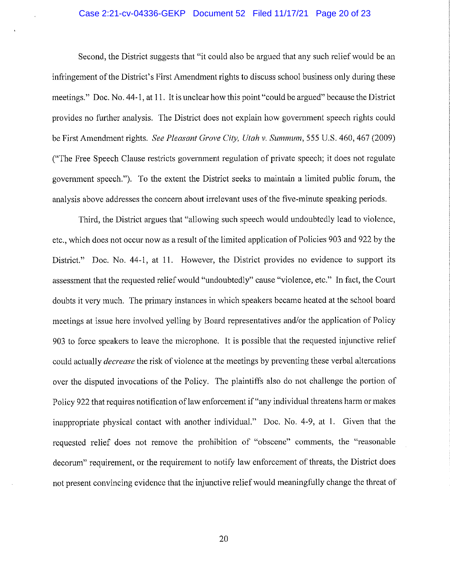## Case 2:21-cv-04336-GEKP Document 52 Filed 11/17/21 Page 20 of 23

Second, the District suggests that "it could also be argued that any such relief would be an infringement of the District's First Amendment rights to discuss school business only during these meetings." Doc. No. 44-1, at 11. It is unclear how this point "could be argued" because the District provides no further analysis. The District does not explain how government speech rights could be First Amendment rights. See Pleasant Grove City, Utah v. Summum, 555 U.S. 460, 467 (2009) ("The Free Speech Clause restricts government regulation of private speech; it does not regulate government speech."). To the extent the District seeks to maintain a limited public forum, the analysis above addresses the concern about irrelevant uses of the five-minute speaking periods.

Third, the District argues that "allowing such speech would undoubtedly lead to violence, etc., which does not occur now as a result of the limited application of Policies 903 and 922 by the District." Doc. No. 44-1, at 11. However, the District provides no evidence to support its assessment that the requested relief would "undoubtedly" cause "violence, etc." In fact, the Court doubts it very much. The primary instances in which speakers became heated at the school board meetings at issue here involved yelling by Board representatives and/or the application of Policy 903 to force speakers to leave the microphone. It is possible that the requested injunctive relief could actually *decrease* the risk of violence at the meetings by preventing these verbal altercations over the disputed invocations of the Policy. The plaintiffs also do not challenge the portion of Policy 922 that requires notification of law enforcement if "any individual threatens harm or makes inappropriate physical contact with another individual." Doc. No. 4-9, at 1. Given that the requested relief does not remove the prohibition of "obscene" comments, the "reasonable decorum" requirement, or the requirement to notify law enforcement of threats, the District does not present convincing evidence that the injunctive relief would meaningfully change the threat of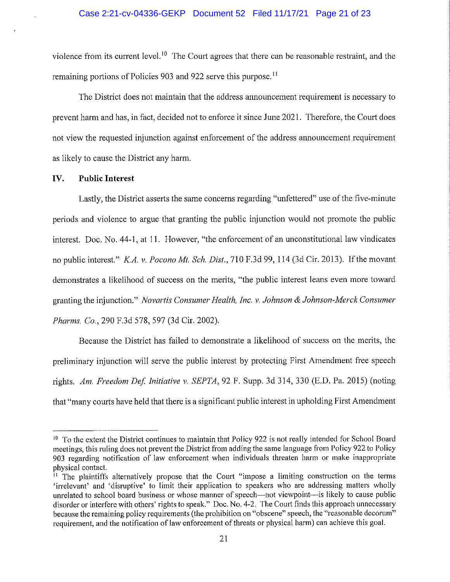violence from its current level.<sup>10</sup> The Court agrees that there can be reasonable restraint, and the remaining portions of Policies 903 and 922 serve this purpose.<sup>11</sup>

The District does not maintain that the address announcement requirement is necessary to prevent harm and has, in fact, decided not to enforce it since June 2021. Therefore, the Court does not view the requested injunction against enforcement of the address announcement requirement as likely to cause the District any harm.

#### IV. **Public Interest**

Lastly, the District asserts the same concerns regarding "unfettered" use of the five-minute periods and violence to argue that granting the public injunction would not promote the public interest. Doc. No. 44-1, at 11. However, "the enforcement of an unconstitutional law vindicates no public interest." K.A. v. Pocono Mt. Sch. Dist., 710 F.3d 99, 114 (3d Cir. 2013). If the movant demonstrates a likelihood of success on the merits, "the public interest leans even more toward granting the injunction." Novartis Consumer Health, Inc. v. Johnson & Johnson-Merck Consumer Pharms. Co., 290 F.3d 578, 597 (3d Cir. 2002).

Because the District has failed to demonstrate a likelihood of success on the merits, the preliminary injunction will serve the public interest by protecting First Amendment free speech rights. Am. Freedom Def. Initiative v. SEPTA, 92 F. Supp. 3d 314, 330 (E.D. Pa. 2015) (noting that "many courts have held that there is a significant public interest in upholding First Amendment

<sup>&</sup>lt;sup>10</sup> To the extent the District continues to maintain that Policy 922 is not really intended for School Board meetings, this ruling does not prevent the District from adding the same language from Policy 922 to Policy 903 regarding notification of law enforcement when individuals threaten harm or make inappropriate physical contact.

<sup>&</sup>lt;sup>11</sup> The plaintiffs alternatively propose that the Court "impose a limiting construction on the terms 'irrelevant' and 'disruptive' to limit their application to speakers who are addressing matters wholly unrelated to school board business or whose manner of speech—not viewpoint—is likely to cause public disorder or interfere with others' rights to speak." Doc. No. 4-2. The Court finds this approach unnecessary because the remaining policy requirements (the prohibition on "obscene" speech, the "reasonable decorum" requirement, and the notification of law enforcement of threats or physical harm) can achieve this goal.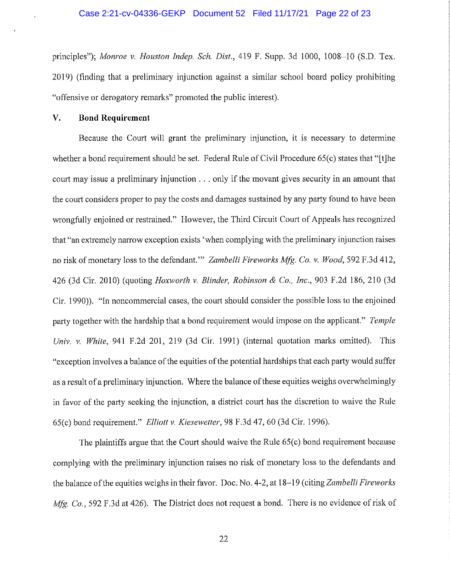principles"); Monroe v. Houston Indep. Sch. Dist., 419 F. Supp. 3d 1000, 1008-10 (S.D. Tex. 2019) (finding that a preliminary injunction against a similar school board policy prohibiting "offensive or derogatory remarks" promoted the public interest).

#### $\mathbf{V}$ . **Bond Requirement**

Because the Court will grant the preliminary injunction, it is necessary to determine whether a bond requirement should be set. Federal Rule of Civil Procedure 65(c) states that "[t]he court may issue a preliminary injunction . . . only if the movant gives security in an amount that the court considers proper to pay the costs and damages sustained by any party found to have been wrongfully enioined or restrained." However, the Third Circuit Court of Appeals has recognized that "an extremely narrow exception exists 'when complying with the preliminary injunction raises no risk of monetary loss to the defendant." Zambelli Fireworks Mfg. Co. v. Wood, 592 F.3d 412, 426 (3d Cir. 2010) (quoting *Hoxworth v. Blinder, Robinson & Co., Inc.*, 903 F.2d 186, 210 (3d Cir. 1990)). "In noncommercial cases, the court should consider the possible loss to the enjoined party together with the hardship that a bond requirement would impose on the applicant." Temple Univ. v. White, 941 F.2d 201, 219 (3d Cir. 1991) (internal quotation marks omitted). This "exception involves a balance of the equities of the potential hardships that each party would suffer as a result of a preliminary injunction. Where the balance of these equities weighs overwhelmingly in favor of the party seeking the injunction, a district court has the discretion to waive the Rule 65(c) bond requirement." Elliott v. Kiesewetter, 98 F.3d 47, 60 (3d Cir. 1996).

The plaintiffs argue that the Court should waive the Rule 65(c) bond requirement because complying with the preliminary injunction raises no risk of monetary loss to the defendants and the balance of the equities weighs in their favor. Doc. No. 4-2, at 18–19 (citing Zambelli Fireworks *Mfg. Co.*, 592 F.3d at 426). The District does not request a bond. There is no evidence of risk of